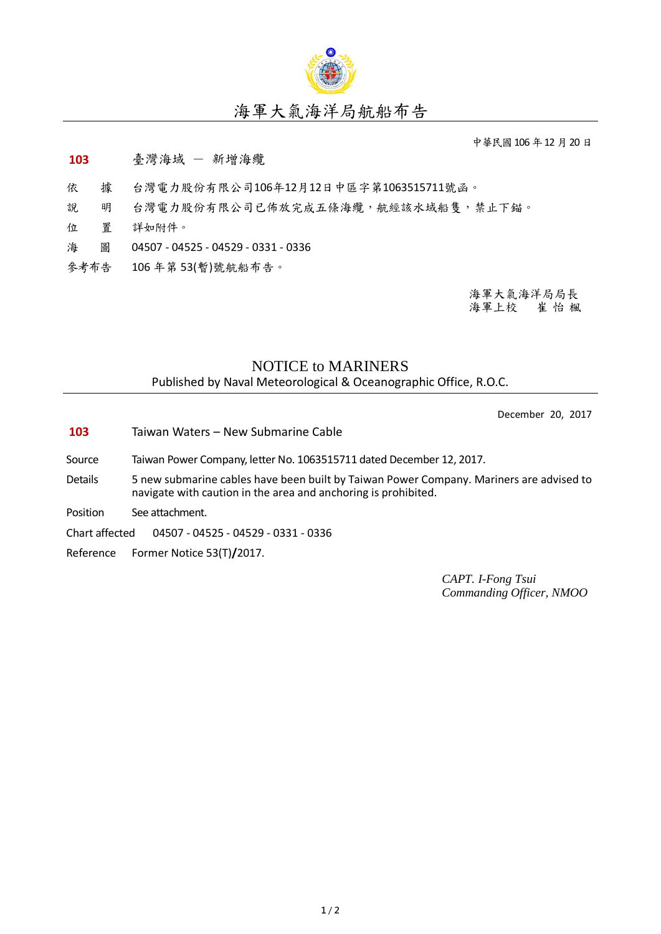

## 海軍大氣海洋局航船布告

中華民國106年12月20日

## **103** 臺灣海域 - 新增海纜

- 依 據 台灣電力股份有限公司106年12月12日中區字第1063515711號函。
- 說 明 台灣電力股份有限公司已佈放完成五條海纜,航經該水域船隻,禁止下錨。
- 位 置 詳如附件。
- 海 圖 04507 04525 04529 0331 0336
- 參考布告 106 年第 53(暫)號航船布告。

海軍大氣海洋局局長 海軍上校 崔 怡 楓

## NOTICE to MARINERS

Published by Naval Meteorological & Oceanographic Office, R.O.C.

December 20, 2017

- **103** Taiwan Waters New Submarine Cable
- Source Taiwan Power Company, letter No. 1063515711 dated December 12, 2017.
- Details 5 new submarine cables have been built by Taiwan Power Company. Mariners are advised to navigate with caution in the area and anchoring is prohibited.
- Position See attachment.

Chart affected 04507 - 04525 - 04529 - 0331 - 0336

Reference Former Notice 53(T)**/**2017.

*CAPT. I-Fong Tsui Commanding Officer, NMOO*